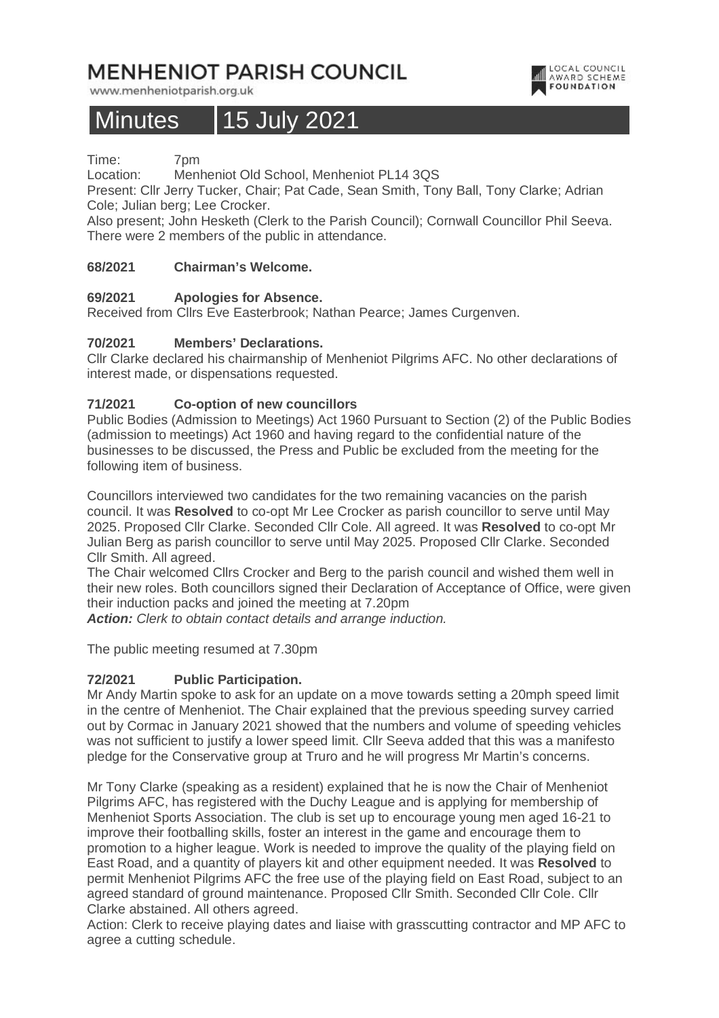# **MENHENIOT PARISH COUNCIL**

www.menheniotparish.org.uk

## Minutes 15 July 2021

Time: 7pm

Location: Menheniot Old School, Menheniot PL14 3QS

Present: Cllr Jerry Tucker, Chair; Pat Cade, Sean Smith, Tony Ball, Tony Clarke; Adrian Cole; Julian berg; Lee Crocker.

LOCAL COUNCIL

**AWARD SCHEME** 

Also present; John Hesketh (Clerk to the Parish Council); Cornwall Councillor Phil Seeva. There were 2 members of the public in attendance.

## **68/2021 Chairman's Welcome.**

## **69/2021 Apologies for Absence.**

Received from Cllrs Eve Easterbrook; Nathan Pearce; James Curgenven.

## **70/2021 Members' Declarations.**

Cllr Clarke declared his chairmanship of Menheniot Pilgrims AFC. No other declarations of interest made, or dispensations requested.

## **71/2021 Co-option of new councillors**

Public Bodies (Admission to Meetings) Act 1960 Pursuant to Section (2) of the Public Bodies (admission to meetings) Act 1960 and having regard to the confidential nature of the businesses to be discussed, the Press and Public be excluded from the meeting for the following item of business.

Councillors interviewed two candidates for the two remaining vacancies on the parish council. It was **Resolved** to co-opt Mr Lee Crocker as parish councillor to serve until May 2025. Proposed Cllr Clarke. Seconded Cllr Cole. All agreed. It was **Resolved** to co-opt Mr Julian Berg as parish councillor to serve until May 2025. Proposed Cllr Clarke. Seconded Cllr Smith. All agreed.

The Chair welcomed Cllrs Crocker and Berg to the parish council and wished them well in their new roles. Both councillors signed their Declaration of Acceptance of Office, were given their induction packs and joined the meeting at 7.20pm

**Action:** Clerk to obtain contact details and arrange induction.

The public meeting resumed at 7.30pm

## **72/2021 Public Participation.**

Mr Andy Martin spoke to ask for an update on a move towards setting a 20mph speed limit in the centre of Menheniot. The Chair explained that the previous speeding survey carried out by Cormac in January 2021 showed that the numbers and volume of speeding vehicles was not sufficient to justify a lower speed limit. Cllr Seeva added that this was a manifesto pledge for the Conservative group at Truro and he will progress Mr Martin's concerns.

Mr Tony Clarke (speaking as a resident) explained that he is now the Chair of Menheniot Pilgrims AFC, has registered with the Duchy League and is applying for membership of Menheniot Sports Association. The club is set up to encourage young men aged 16-21 to improve their footballing skills, foster an interest in the game and encourage them to promotion to a higher league. Work is needed to improve the quality of the playing field on East Road, and a quantity of players kit and other equipment needed. It was **Resolved** to permit Menheniot Pilgrims AFC the free use of the playing field on East Road, subject to an agreed standard of ground maintenance. Proposed Cllr Smith. Seconded Cllr Cole. Cllr Clarke abstained. All others agreed.

Action: Clerk to receive playing dates and liaise with grasscutting contractor and MP AFC to agree a cutting schedule.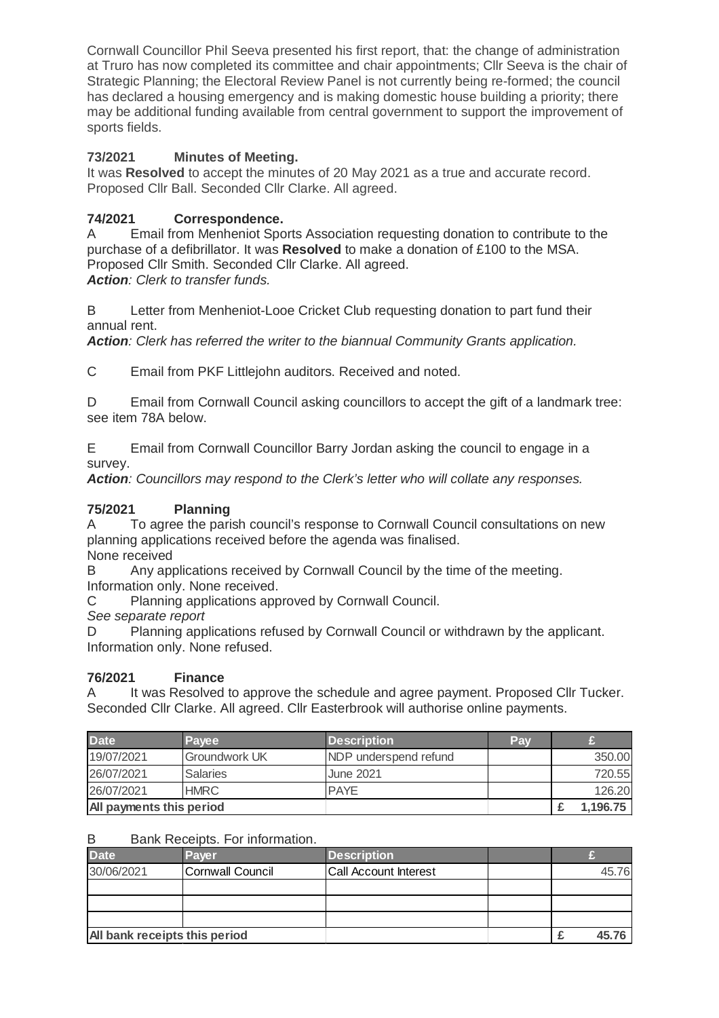Cornwall Councillor Phil Seeva presented his first report, that: the change of administration at Truro has now completed its committee and chair appointments; Cllr Seeva is the chair of Strategic Planning; the Electoral Review Panel is not currently being re-formed; the council has declared a housing emergency and is making domestic house building a priority; there may be additional funding available from central government to support the improvement of sports fields.

## **73/2021 Minutes of Meeting.**

It was **Resolved** to accept the minutes of 20 May 2021 as a true and accurate record. Proposed Cllr Ball. Seconded Cllr Clarke. All agreed.

## **74/2021 Correspondence.**

A Email from Menheniot Sports Association requesting donation to contribute to the purchase of a defibrillator. It was **Resolved** to make a donation of £100 to the MSA. Proposed Cllr Smith. Seconded Cllr Clarke. All agreed. **Action**: Clerk to transfer funds.

B Letter from Menheniot-Looe Cricket Club requesting donation to part fund their annual rent.

**Action**: Clerk has referred the writer to the biannual Community Grants application.

C Email from PKF Littlejohn auditors. Received and noted.

D Email from Cornwall Council asking councillors to accept the gift of a landmark tree: see item 78A below.

E Email from Cornwall Councillor Barry Jordan asking the council to engage in a survey.

Action: Councillors may respond to the Clerk's letter who will collate any responses.

## **75/2021 Planning**

A To agree the parish council's response to Cornwall Council consultations on new planning applications received before the agenda was finalised.

None received

B Any applications received by Cornwall Council by the time of the meeting. Information only. None received.

C Planning applications approved by Cornwall Council.

See separate report

D Planning applications refused by Cornwall Council or withdrawn by the applicant. Information only. None refused.

## **76/2021 Finance**

A It was Resolved to approve the schedule and agree payment. Proposed Cllr Tucker. Seconded Cllr Clarke. All agreed. Cllr Easterbrook will authorise online payments.

| <b>Date</b>              | <b>Pavee</b>         | <b>Description</b>     | Pav |          |
|--------------------------|----------------------|------------------------|-----|----------|
| 19/07/2021               | <b>Groundwork UK</b> | INDP underspend refund |     | 350,00   |
| 26/07/2021               | <b>Salaries</b>      | <b>June 2021</b>       |     | 720.55   |
| 26/07/2021               | <b>HMRC</b>          | <b>PAYE</b>            |     | 126.20   |
| All payments this period |                      |                        |     | 1,196.75 |

## B Bank Receipts. For information.

| <b>Date</b>                   | <b>Payer</b>     | <b>Description</b>           |  |       |
|-------------------------------|------------------|------------------------------|--|-------|
| 30/06/2021                    | Cornwall Council | <b>Call Account Interest</b> |  | 45.76 |
|                               |                  |                              |  |       |
|                               |                  |                              |  |       |
|                               |                  |                              |  |       |
| All bank receipts this period |                  |                              |  | 4576  |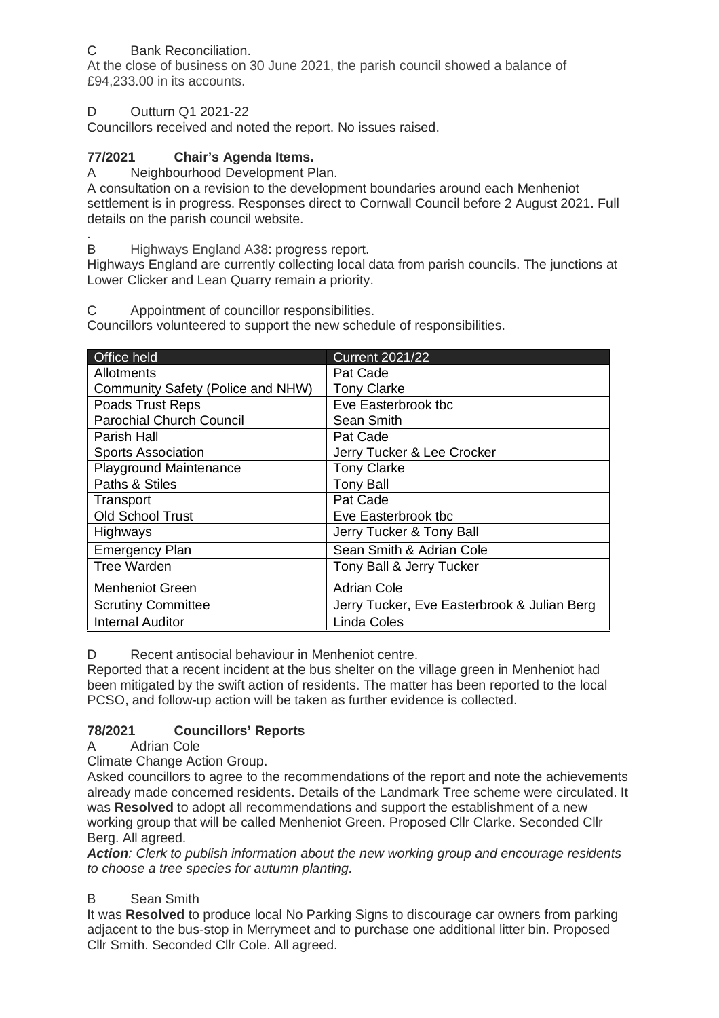## C Bank Reconciliation.

At the close of business on 30 June 2021, the parish council showed a balance of £94,233.00 in its accounts.

## D Outturn Q1 2021-22

Councillors received and noted the report. No issues raised.

## **77/2021 Chair's Agenda Items.**

A Neighbourhood Development Plan.

A consultation on a revision to the development boundaries around each Menheniot settlement is in progress. Responses direct to Cornwall Council before 2 August 2021. Full details on the parish council website.

. B Highways England A38: progress report.

Highways England are currently collecting local data from parish councils. The junctions at Lower Clicker and Lean Quarry remain a priority.

C Appointment of councillor responsibilities.

Councillors volunteered to support the new schedule of responsibilities.

| Office held                       | <b>Current 2021/22</b>                      |  |  |
|-----------------------------------|---------------------------------------------|--|--|
| Allotments                        | Pat Cade                                    |  |  |
| Community Safety (Police and NHW) | <b>Tony Clarke</b>                          |  |  |
| Poads Trust Reps                  | Eve Easterbrook tbc                         |  |  |
| <b>Parochial Church Council</b>   | Sean Smith                                  |  |  |
| Parish Hall                       | Pat Cade                                    |  |  |
| <b>Sports Association</b>         | Jerry Tucker & Lee Crocker                  |  |  |
| <b>Playground Maintenance</b>     | <b>Tony Clarke</b>                          |  |  |
| Paths & Stiles                    | <b>Tony Ball</b>                            |  |  |
| Transport                         | Pat Cade                                    |  |  |
| Old School Trust                  | Eve Easterbrook tbc                         |  |  |
| Highways                          | Jerry Tucker & Tony Ball                    |  |  |
| <b>Emergency Plan</b>             | Sean Smith & Adrian Cole                    |  |  |
| Tree Warden                       | Tony Ball & Jerry Tucker                    |  |  |
| <b>Menheniot Green</b>            | <b>Adrian Cole</b>                          |  |  |
| <b>Scrutiny Committee</b>         | Jerry Tucker, Eve Easterbrook & Julian Berg |  |  |
| <b>Internal Auditor</b>           | <b>Linda Coles</b>                          |  |  |

D Recent antisocial behaviour in Menheniot centre.

Reported that a recent incident at the bus shelter on the village green in Menheniot had been mitigated by the swift action of residents. The matter has been reported to the local PCSO, and follow-up action will be taken as further evidence is collected.

## **78/2021 Councillors' Reports**

A Adrian Cole

Climate Change Action Group.

Asked councillors to agree to the recommendations of the report and note the achievements already made concerned residents. Details of the Landmark Tree scheme were circulated. It was **Resolved** to adopt all recommendations and support the establishment of a new working group that will be called Menheniot Green. Proposed Cllr Clarke. Seconded Cllr Berg. All agreed.

**Action**: Clerk to publish information about the new working group and encourage residents to choose a tree species for autumn planting.

## B Sean Smith

It was **Resolved** to produce local No Parking Signs to discourage car owners from parking adjacent to the bus-stop in Merrymeet and to purchase one additional litter bin. Proposed Cllr Smith. Seconded Cllr Cole. All agreed.